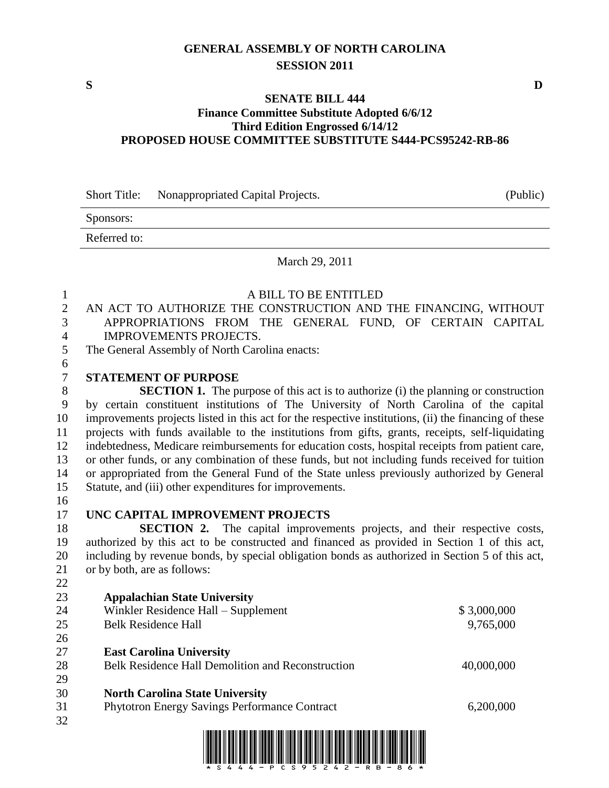## **GENERAL ASSEMBLY OF NORTH CAROLINA SESSION 2011**

### **SENATE BILL 444 Finance Committee Substitute Adopted 6/6/12 Third Edition Engrossed 6/14/12 PROPOSED HOUSE COMMITTEE SUBSTITUTE S444-PCS95242-RB-86**

Short Title: Nonappropriated Capital Projects. (Public)

Sponsors:

Referred to:

### March 29, 2011

### A BILL TO BE ENTITLED

- AN ACT TO AUTHORIZE THE CONSTRUCTION AND THE FINANCING, WITHOUT APPROPRIATIONS FROM THE GENERAL FUND, OF CERTAIN CAPITAL IMPROVEMENTS PROJECTS.
- The General Assembly of North Carolina enacts:
- **STATEMENT OF PURPOSE**

**SECTION 1.** The purpose of this act is to authorize (i) the planning or construction by certain constituent institutions of The University of North Carolina of the capital improvements projects listed in this act for the respective institutions, (ii) the financing of these projects with funds available to the institutions from gifts, grants, receipts, self-liquidating indebtedness, Medicare reimbursements for education costs, hospital receipts from patient care, or other funds, or any combination of these funds, but not including funds received for tuition or appropriated from the General Fund of the State unless previously authorized by General Statute, and (iii) other expenditures for improvements.

# **UNC CAPITAL IMPROVEMENT PROJECTS**

**SECTION 2.** The capital improvements projects, and their respective costs, authorized by this act to be constructed and financed as provided in Section 1 of this act, including by revenue bonds, by special obligation bonds as authorized in Section 5 of this act, or by both, are as follows:

- 
- **Appalachian State University** 24 Winkler Residence Hall – Supplement \$ 3,000,000 Belk Residence Hall 9,765,000
- 
- **East Carolina University** 28 Belk Residence Hall Demolition and Reconstruction 40,000,000
- 
- **North Carolina State University**
- Phytotron Energy Savings Performance Contract 6,200,000
- 



**S D**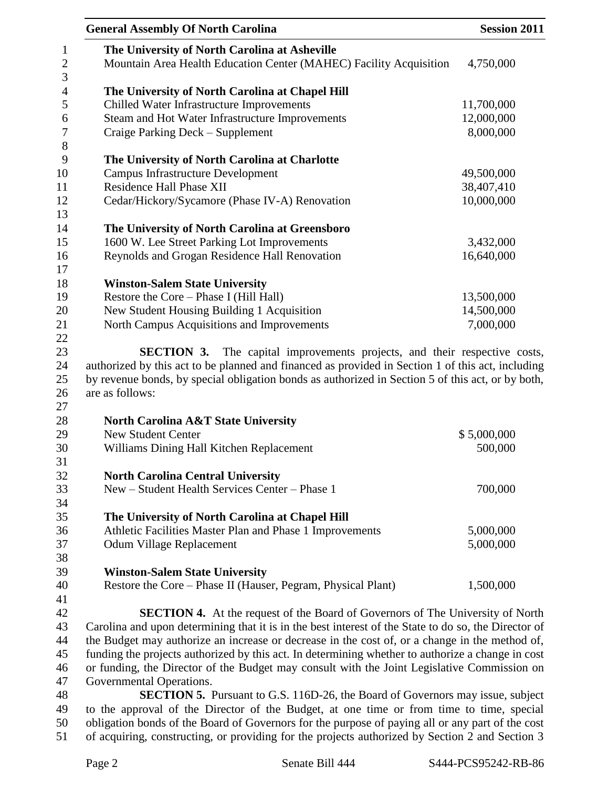| <b>General Assembly Of North Carolina</b>                                                            | <b>Session 2011</b> |  |
|------------------------------------------------------------------------------------------------------|---------------------|--|
| The University of North Carolina at Asheville                                                        |                     |  |
| Mountain Area Health Education Center (MAHEC) Facility Acquisition                                   | 4,750,000           |  |
| The University of North Carolina at Chapel Hill                                                      |                     |  |
| Chilled Water Infrastructure Improvements                                                            | 11,700,000          |  |
| Steam and Hot Water Infrastructure Improvements                                                      | 12,000,000          |  |
| Craige Parking Deck - Supplement                                                                     | 8,000,000           |  |
| The University of North Carolina at Charlotte                                                        |                     |  |
| <b>Campus Infrastructure Development</b>                                                             | 49,500,000          |  |
| <b>Residence Hall Phase XII</b>                                                                      | 38,407,410          |  |
| Cedar/Hickory/Sycamore (Phase IV-A) Renovation                                                       | 10,000,000          |  |
| The University of North Carolina at Greensboro                                                       |                     |  |
| 1600 W. Lee Street Parking Lot Improvements                                                          | 3,432,000           |  |
| Reynolds and Grogan Residence Hall Renovation                                                        | 16,640,000          |  |
|                                                                                                      |                     |  |
| <b>Winston-Salem State University</b>                                                                |                     |  |
| Restore the Core - Phase I (Hill Hall)                                                               | 13,500,000          |  |
| New Student Housing Building 1 Acquisition                                                           | 14,500,000          |  |
| North Campus Acquisitions and Improvements                                                           | 7,000,000           |  |
| <b>SECTION 3.</b> The capital improvements projects, and their respective costs,                     |                     |  |
| authorized by this act to be planned and financed as provided in Section 1 of this act, including    |                     |  |
| by revenue bonds, by special obligation bonds as authorized in Section 5 of this act, or by both,    |                     |  |
| are as follows:                                                                                      |                     |  |
|                                                                                                      |                     |  |
| <b>North Carolina A&amp;T State University</b>                                                       |                     |  |
| <b>New Student Center</b>                                                                            | \$5,000,000         |  |
| Williams Dining Hall Kitchen Replacement                                                             | 500,000             |  |
|                                                                                                      |                     |  |
| <b>North Carolina Central University</b>                                                             |                     |  |
| New - Student Health Services Center - Phase 1                                                       | 700,000             |  |
|                                                                                                      |                     |  |
| The University of North Carolina at Chapel Hill                                                      |                     |  |
| Athletic Facilities Master Plan and Phase 1 Improvements                                             | 5,000,000           |  |
| Odum Village Replacement                                                                             | 5,000,000           |  |
|                                                                                                      |                     |  |
| <b>Winston-Salem State University</b>                                                                |                     |  |
| Restore the Core - Phase II (Hauser, Pegram, Physical Plant)                                         | 1,500,000           |  |
|                                                                                                      |                     |  |
| <b>SECTION 4.</b> At the request of the Board of Governors of The University of North                |                     |  |
| Carolina and upon determining that it is in the best interest of the State to do so, the Director of |                     |  |
| the Budget may authorize an increase or decrease in the cost of, or a change in the method of,       |                     |  |
| funding the projects authorized by this act. In determining whether to authorize a change in cost    |                     |  |
| or funding, the Director of the Budget may consult with the Joint Legislative Commission on          |                     |  |
| Governmental Operations.                                                                             |                     |  |
| <b>SECTION 5.</b> Pursuant to G.S. 116D-26, the Board of Governors may issue, subject                |                     |  |
| to the approval of the Director of the Budget, at one time or from time to time, special             |                     |  |
| obligation bonds of the Board of Governors for the purpose of paying all or any part of the cost     |                     |  |

of acquiring, constructing, or providing for the projects authorized by Section 2 and Section 3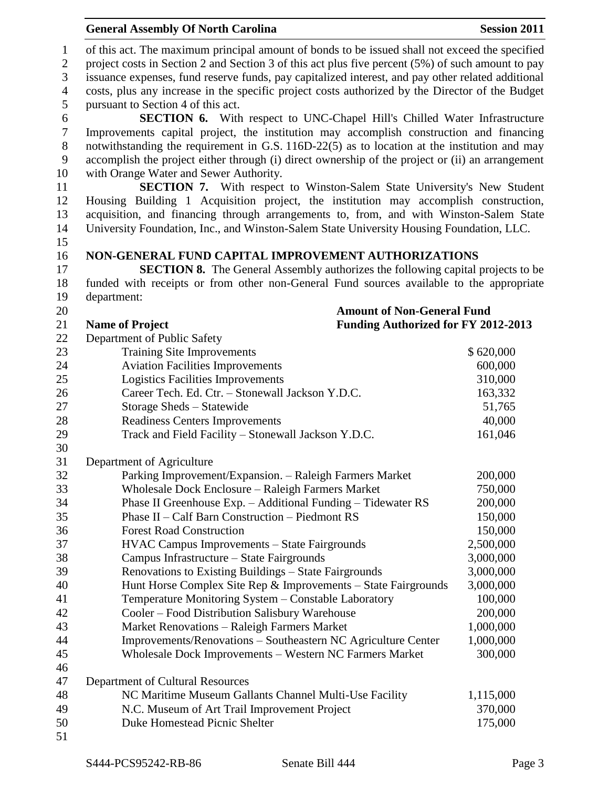|                              | <b>General Assembly Of North Carolina</b>                                                                                                                                                           | <b>Session 2011</b> |  |  |  |
|------------------------------|-----------------------------------------------------------------------------------------------------------------------------------------------------------------------------------------------------|---------------------|--|--|--|
| $\mathbf{1}$<br>$\mathbf{2}$ | of this act. The maximum principal amount of bonds to be issued shall not exceed the specified<br>project costs in Section 2 and Section 3 of this act plus five percent (5%) of such amount to pay |                     |  |  |  |
| 3                            | issuance expenses, fund reserve funds, pay capitalized interest, and pay other related additional                                                                                                   |                     |  |  |  |
| $\overline{4}$               | costs, plus any increase in the specific project costs authorized by the Director of the Budget                                                                                                     |                     |  |  |  |
| 5                            | pursuant to Section 4 of this act.                                                                                                                                                                  |                     |  |  |  |
| 6                            | SECTION 6. With respect to UNC-Chapel Hill's Chilled Water Infrastructure                                                                                                                           |                     |  |  |  |
| $\boldsymbol{7}$             | Improvements capital project, the institution may accomplish construction and financing                                                                                                             |                     |  |  |  |
| $8\,$                        | notwithstanding the requirement in G.S. 116D-22(5) as to location at the institution and may                                                                                                        |                     |  |  |  |
| $\mathbf{9}$                 | accomplish the project either through (i) direct ownership of the project or (ii) an arrangement                                                                                                    |                     |  |  |  |
| 10                           | with Orange Water and Sewer Authority.                                                                                                                                                              |                     |  |  |  |
| 11                           | SECTION 7. With respect to Winston-Salem State University's New Student                                                                                                                             |                     |  |  |  |
| 12                           | Housing Building 1 Acquisition project, the institution may accomplish construction,                                                                                                                |                     |  |  |  |
| 13                           | acquisition, and financing through arrangements to, from, and with Winston-Salem State                                                                                                              |                     |  |  |  |
| 14                           | University Foundation, Inc., and Winston-Salem State University Housing Foundation, LLC.                                                                                                            |                     |  |  |  |
| 15                           |                                                                                                                                                                                                     |                     |  |  |  |
| 16                           | NON-GENERAL FUND CAPITAL IMPROVEMENT AUTHORIZATIONS                                                                                                                                                 |                     |  |  |  |
| 17                           | <b>SECTION 8.</b> The General Assembly authorizes the following capital projects to be                                                                                                              |                     |  |  |  |
| 18                           | funded with receipts or from other non-General Fund sources available to the appropriate                                                                                                            |                     |  |  |  |
| 19                           | department:                                                                                                                                                                                         |                     |  |  |  |
| 20                           | <b>Amount of Non-General Fund</b>                                                                                                                                                                   |                     |  |  |  |
| 21                           | Funding Authorized for FY 2012-2013<br><b>Name of Project</b>                                                                                                                                       |                     |  |  |  |
| 22<br>23                     | Department of Public Safety                                                                                                                                                                         | \$620,000           |  |  |  |
| 24                           | <b>Training Site Improvements</b><br><b>Aviation Facilities Improvements</b>                                                                                                                        | 600,000             |  |  |  |
| 25                           | Logistics Facilities Improvements                                                                                                                                                                   | 310,000             |  |  |  |
| 26                           | Career Tech. Ed. Ctr. - Stonewall Jackson Y.D.C.                                                                                                                                                    | 163,332             |  |  |  |
| 27                           | Storage Sheds - Statewide                                                                                                                                                                           | 51,765              |  |  |  |
| 28                           | <b>Readiness Centers Improvements</b>                                                                                                                                                               | 40,000              |  |  |  |
| 29                           | Track and Field Facility - Stonewall Jackson Y.D.C.                                                                                                                                                 | 161,046             |  |  |  |
| 30                           |                                                                                                                                                                                                     |                     |  |  |  |
| 31                           | Department of Agriculture                                                                                                                                                                           |                     |  |  |  |
| 32                           | Parking Improvement/Expansion. - Raleigh Farmers Market                                                                                                                                             | 200,000             |  |  |  |
| 33                           | Wholesale Dock Enclosure - Raleigh Farmers Market                                                                                                                                                   | 750,000             |  |  |  |
| 34                           | Phase II Greenhouse Exp. - Additional Funding - Tidewater RS                                                                                                                                        | 200,000             |  |  |  |
| 35                           | Phase II – Calf Barn Construction – Piedmont RS                                                                                                                                                     | 150,000             |  |  |  |
| 36                           | <b>Forest Road Construction</b>                                                                                                                                                                     | 150,000             |  |  |  |
| 37                           | <b>HVAC Campus Improvements - State Fairgrounds</b>                                                                                                                                                 | 2,500,000           |  |  |  |
| 38                           | Campus Infrastructure – State Fairgrounds                                                                                                                                                           | 3,000,000           |  |  |  |
| 39                           | Renovations to Existing Buildings - State Fairgrounds                                                                                                                                               | 3,000,000           |  |  |  |
| 40                           | Hunt Horse Complex Site Rep & Improvements - State Fairgrounds                                                                                                                                      | 3,000,000           |  |  |  |
| 41                           | Temperature Monitoring System - Constable Laboratory                                                                                                                                                | 100,000             |  |  |  |
| 42                           | Cooler - Food Distribution Salisbury Warehouse                                                                                                                                                      | 200,000             |  |  |  |
| 43                           | Market Renovations - Raleigh Farmers Market                                                                                                                                                         | 1,000,000           |  |  |  |
| 44                           | Improvements/Renovations - Southeastern NC Agriculture Center                                                                                                                                       | 1,000,000           |  |  |  |
| 45                           | Wholesale Dock Improvements - Western NC Farmers Market                                                                                                                                             | 300,000             |  |  |  |
| 46                           |                                                                                                                                                                                                     |                     |  |  |  |
| 47                           | Department of Cultural Resources                                                                                                                                                                    |                     |  |  |  |
| 48                           | NC Maritime Museum Gallants Channel Multi-Use Facility                                                                                                                                              | 1,115,000           |  |  |  |
| 49<br>50                     | N.C. Museum of Art Trail Improvement Project<br>Duke Homestead Picnic Shelter                                                                                                                       | 370,000<br>175,000  |  |  |  |
| 51                           |                                                                                                                                                                                                     |                     |  |  |  |
|                              |                                                                                                                                                                                                     |                     |  |  |  |